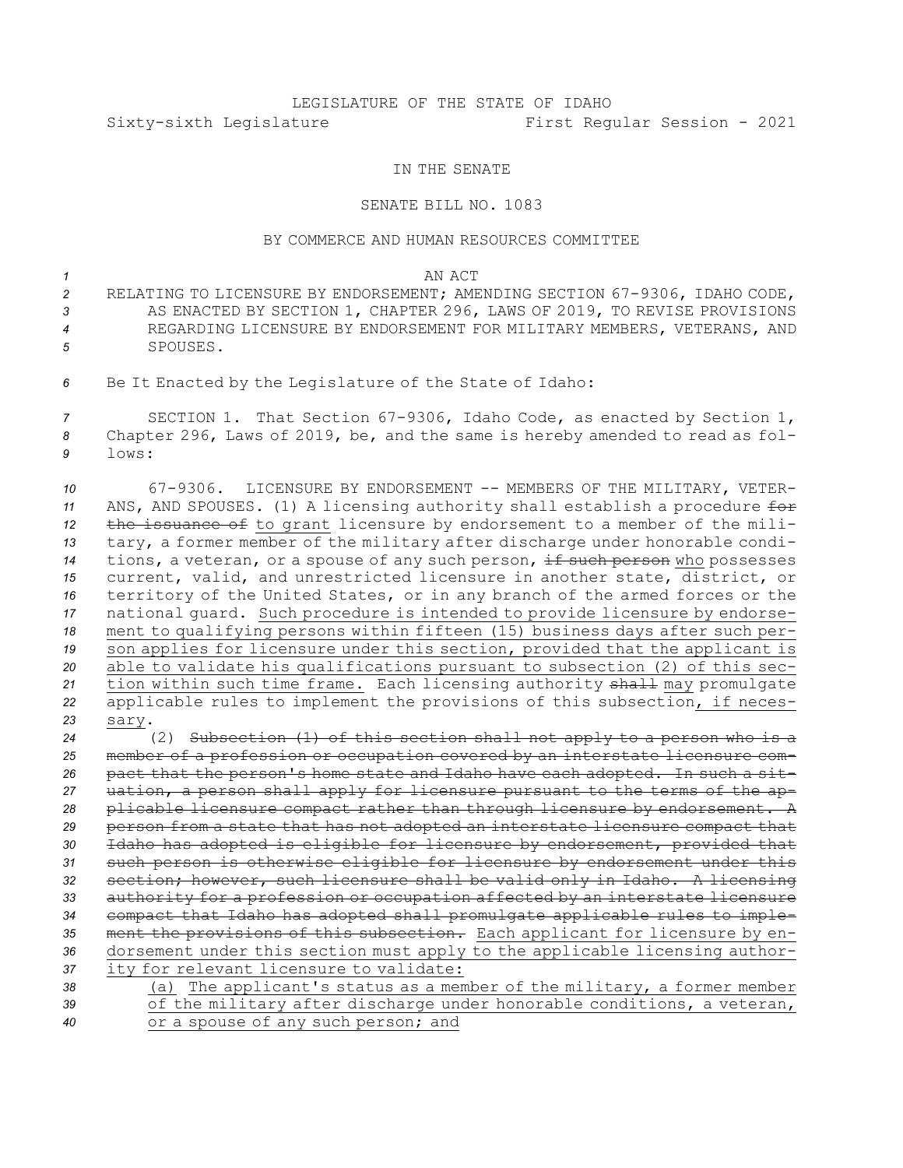## LEGISLATURE OF THE STATE OF IDAHO Sixty-sixth Legislature First Regular Session - 2021

## IN THE SENATE

## SENATE BILL NO. 1083

## BY COMMERCE AND HUMAN RESOURCES COMMITTEE

*1* AN ACT

- *<sup>2</sup>* RELATING TO LICENSURE BY ENDORSEMENT; AMENDING SECTION 67-9306, IDAHO CODE, *<sup>3</sup>* AS ENACTED BY SECTION 1, CHAPTER 296, LAWS OF 2019, TO REVISE PROVISIONS *4* REGARDING LICENSURE BY ENDORSEMENT FOR MILITARY MEMBERS, VETERANS, AND *5* SPOUSES.
- *<sup>6</sup>* Be It Enacted by the Legislature of the State of Idaho:

*<sup>7</sup>* SECTION 1. That Section 67-9306, Idaho Code, as enacted by Section 1, *<sup>8</sup>* Chapter 296, Laws of 2019, be, and the same is hereby amended to read as fol-*9* lows:

 67-9306. LICENSURE BY ENDORSEMENT -- MEMBERS OF THE MILITARY, VETER- ANS, AND SPOUSES. (1) <sup>A</sup> licensing authority shall establish <sup>a</sup> procedure for the issuance of to grant licensure by endorsement to <sup>a</sup> member of the mili- tary, <sup>a</sup> former member of the military after discharge under honorable condi-14 tions, a veteran, or a spouse of any such person, if such person who possesses current, valid, and unrestricted licensure in another state, district, or territory of the United States, or in any branch of the armed forces or the national guard. Such procedure is intended to provide licensure by endorse- ment to qualifying persons within fifteen (15) business days after such per- son applies for licensure under this section, provided that the applicant is able to validate his qualifications pursuant to subsection (2) of this sec- tion within such time frame. Each licensing authority shall may promulgate applicable rules to implement the provisions of this subsection, if neces-*23* sary.

 (2) Subsection (1) of this section shall not apply to <sup>a</sup> person who is <sup>a</sup> member of <sup>a</sup> profession or occupation covered by an interstate licensure com- pact that the person's home state and Idaho have each adopted. In such <sup>a</sup> sit- uation, <sup>a</sup> person shall apply for licensure pursuant to the terms of the ap- plicable licensure compact rather than through licensure by endorsement. <sup>A</sup> person from <sup>a</sup> state that has not adopted an interstate licensure compact that Idaho has adopted is eligible for licensure by endorsement, provided that such person is otherwise eligible for licensure by endorsement under this section; however, such licensure shall be valid only in Idaho. <sup>A</sup> licensing authority for <sup>a</sup> profession or occupation affected by an interstate licensure compact that Idaho has adopted shall promulgate applicable rules to imple- ment the provisions of this subsection. Each applicant for licensure by en- dorsement under this section must apply to the applicable licensing author- ity for relevant licensure to validate: (a) The applicant's status as <sup>a</sup> member of the military, <sup>a</sup> former member

*<sup>39</sup>* of the military after discharge under honorable conditions, <sup>a</sup> veteran, *<sup>40</sup>* or <sup>a</sup> spouse of any such person; and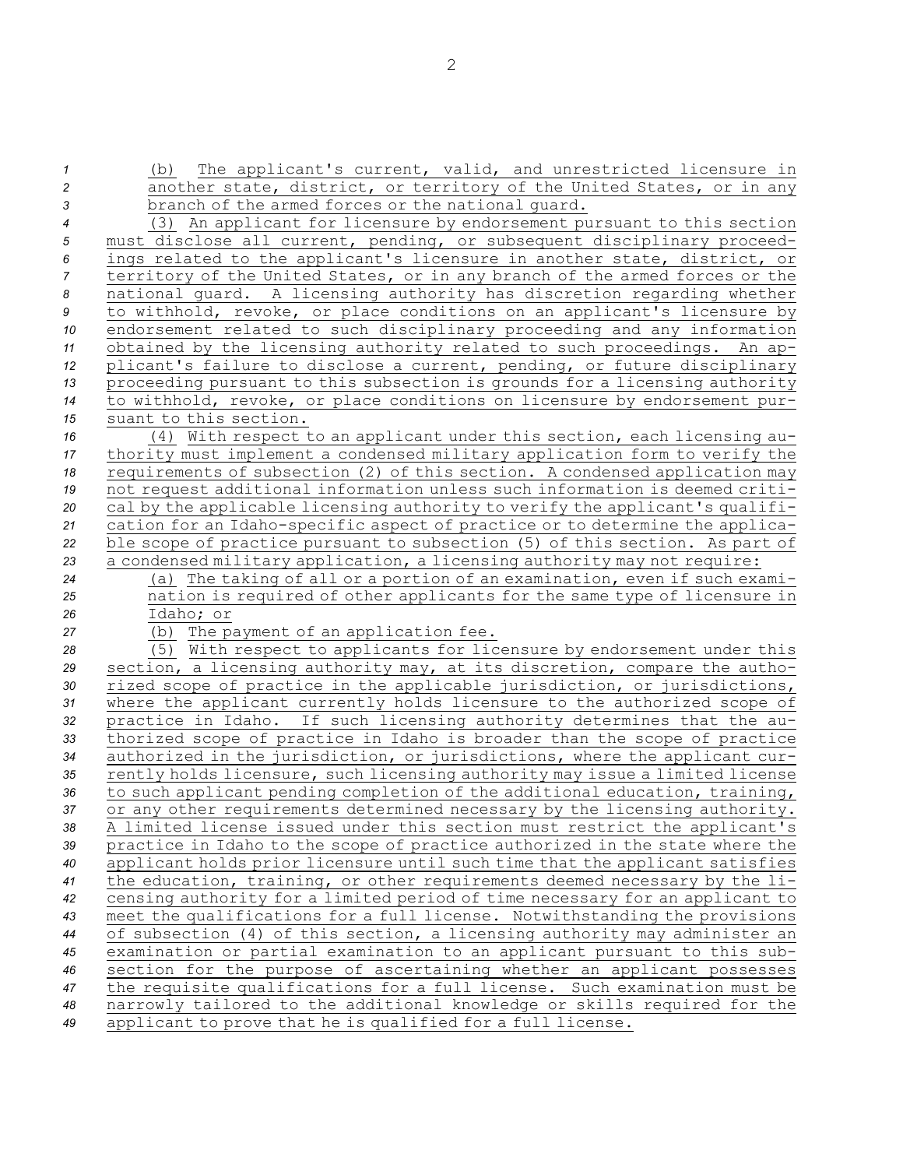(b) The applicant's current, valid, and unrestricted licensure in another state, district, or territory of the United States, or in any branch of the armed forces or the national guard. (3) An applicant for licensure by endorsement pursuant to this section must disclose all current, pending, or subsequent disciplinary proceed- ings related to the applicant's licensure in another state, district, or territory of the United States, or in any branch of the armed forces or the national guard. <sup>A</sup> licensing authority has discretion regarding whether to withhold, revoke, or place conditions on an applicant's licensure by endorsement related to such disciplinary proceeding and any information obtained by the licensing authority related to such proceedings. An ap- plicant's failure to disclose <sup>a</sup> current, pending, or future disciplinary proceeding pursuant to this subsection is grounds for <sup>a</sup> licensing authority to withhold, revoke, or place conditions on licensure by endorsement pur- suant to this section. (4) With respect to an applicant under this section, each licensing au- thority must implement <sup>a</sup> condensed military application form to verify the requirements of subsection (2) of this section. <sup>A</sup> condensed application may not request additional information unless such information is deemed criti- cal by the applicable licensing authority to verify the applicant's qualifi- cation for an Idaho-specific aspect of practice or to determine the applica- ble scope of practice pursuant to subsection (5) of this section. As part of <sup>a</sup> condensed military application, <sup>a</sup> licensing authority may not require: (a) The taking of all or <sup>a</sup> portion of an examination, even if such exami- nation is required of other applicants for the same type of licensure in Idaho; or 27 (b) The payment of an application fee. (5) With respect to applicants for licensure by endorsement under this section, <sup>a</sup> licensing authority may, at its discretion, compare the autho- rized scope of practice in the applicable jurisdiction, or jurisdictions, where the applicant currently holds licensure to the authorized scope of practice in Idaho. If such licensing authority determines that the au- thorized scope of practice in Idaho is broader than the scope of practice authorized in the jurisdiction, or jurisdictions, where the applicant cur- rently holds licensure, such licensing authority may issue <sup>a</sup> limited license to such applicant pending completion of the additional education, training, or any other requirements determined necessary by the licensing authority. <sup>A</sup> limited license issued under this section must restrict the applicant's practice in Idaho to the scope of practice authorized in the state where the applicant holds prior licensure until such time that the applicant satisfies the education, training, or other requirements deemed necessary by the li- censing authority for <sup>a</sup> limited period of time necessary for an applicant to meet the qualifications for <sup>a</sup> full license. Notwithstanding the provisions of subsection (4) of this section, <sup>a</sup> licensing authority may administer an examination or partial examination to an applicant pursuant to this sub- section for the purpose of ascertaining whether an applicant possesses the requisite qualifications for <sup>a</sup> full license. Such examination must be narrowly tailored to the additional knowledge or skills required for the applicant to prove that he is qualified for <sup>a</sup> full license.